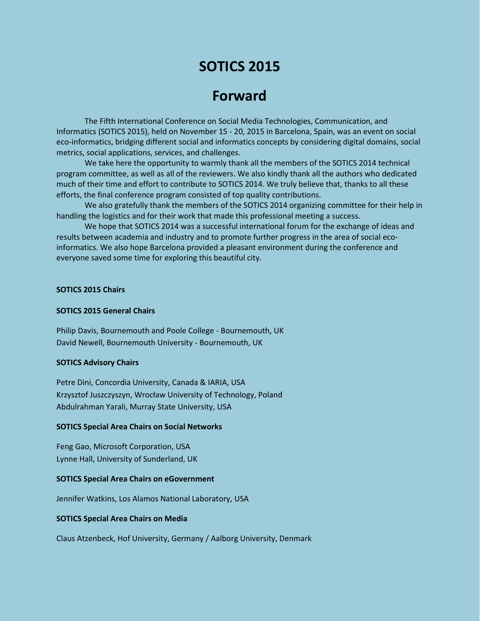# **SOTICS 2015**

## **Forward**

The Fifth International Conference on Social Media Technologies, Communication, and Informatics (SOTICS 2015), held on November 15 - 20, 2015 in Barcelona, Spain, was an event on social eco-informatics, bridging different social and informatics concepts by considering digital domains, social metrics, social applications, services, and challenges.

We take here the opportunity to warmly thank all the members of the SOTICS 2014 technical program committee, as well as all of the reviewers. We also kindly thank all the authors who dedicated much of their time and effort to contribute to SOTICS 2014. We truly believe that, thanks to all these efforts, the final conference program consisted of top quality contributions.

We also gratefully thank the members of the SOTICS 2014 organizing committee for their help in handling the logistics and for their work that made this professional meeting a success.

We hope that SOTICS 2014 was a successful international forum for the exchange of ideas and results between academia and industry and to promote further progress in the area of social ecoinformatics. We also hope Barcelona provided a pleasant environment during the conference and everyone saved some time for exploring this beautiful city.

#### **SOTICS 2015 Chairs**

#### **SOTICS 2015 General Chairs**

Philip Davis, Bournemouth and Poole College - Bournemouth, UK David Newell, Bournemouth University - Bournemouth, UK

#### **SOTICS Advisory Chairs**

Petre Dini, Concordia University, Canada & IARIA, USA Krzysztof Juszczyszyn, Wrocław University of Technology, Poland Abdulrahman Yarali, Murray State University, USA

#### **SOTICS Special Area Chairs on Social Networks**

Feng Gao, Microsoft Corporation, USA Lynne Hall, University of Sunderland, UK

#### **SOTICS Special Area Chairs on eGovernment**

Jennifer Watkins, Los Alamos National Laboratory, USA

#### **SOTICS Special Area Chairs on Media**

Claus Atzenbeck, Hof University, Germany / Aalborg University, Denmark